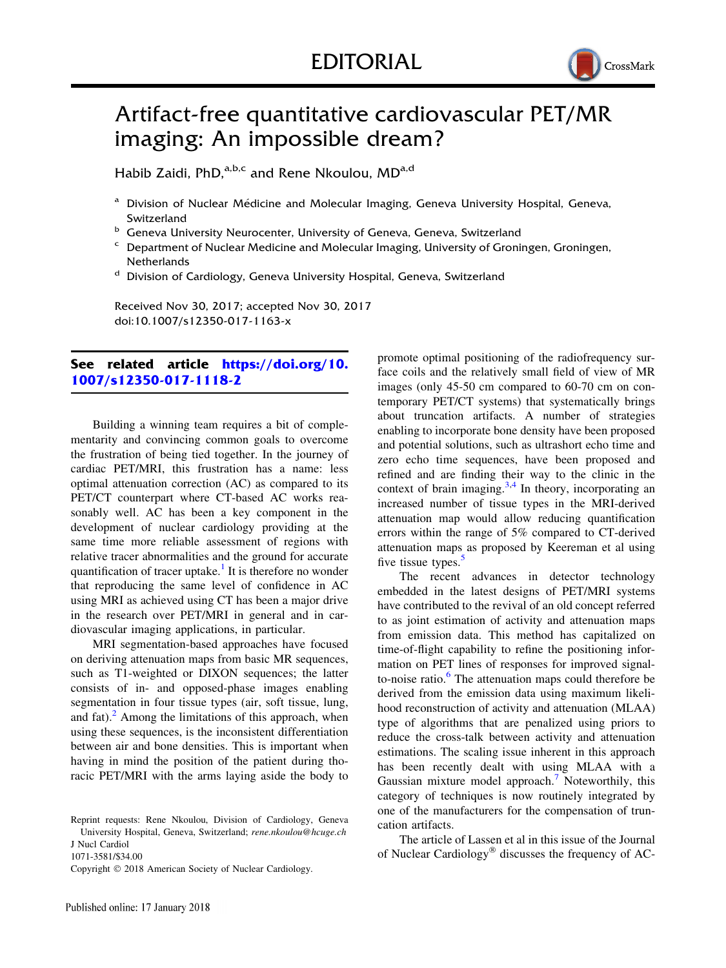

## Artifact-free quantitative cardiovascular PET/MR imaging: An impossible dream?

Habib Zaidi, PhD,<sup>a,b,c</sup> and Rene Nkoulou, MD<sup>a,d</sup>

- <sup>a</sup> Division of Nuclear Médicine and Molecular Imaging, Geneva University Hospital, Geneva, Switzerland
- **b** Geneva University Neurocenter, University of Geneva, Geneva, Switzerland
- <sup>c</sup> Department of Nuclear Medicine and Molecular Imaging, University of Groningen, Groningen, **Netherlands**
- <sup>d</sup> Division of Cardiology, Geneva University Hospital, Geneva, Switzerland

Received Nov 30, 2017; accepted Nov 30, 2017 doi:10.1007/s12350-017-1163-x

## See related article [https://doi.org/10.](https://doi.org/10.1007/s12350-017-1118-2) [1007/s12350-017-1118-2](https://doi.org/10.1007/s12350-017-1118-2)

Building a winning team requires a bit of complementarity and convincing common goals to overcome the frustration of being tied together. In the journey of cardiac PET/MRI, this frustration has a name: less optimal attenuation correction (AC) as compared to its PET/CT counterpart where CT-based AC works reasonably well. AC has been a key component in the development of nuclear cardiology providing at the same time more reliable assessment of regions with relative tracer abnormalities and the ground for accurate quantification of tracer uptake.<sup>[1](#page-1-0)</sup> It is therefore no wonder that reproducing the same level of confidence in AC using MRI as achieved using CT has been a major drive in the research over PET/MRI in general and in cardiovascular imaging applications, in particular.

MRI segmentation-based approaches have focused on deriving attenuation maps from basic MR sequences, such as T1-weighted or DIXON sequences; the latter consists of in- and opposed-phase images enabling segmentation in four tissue types (air, soft tissue, lung, and fat). $^2$  $^2$  Among the limitations of this approach, when using these sequences, is the inconsistent differentiation between air and bone densities. This is important when having in mind the position of the patient during thoracic PET/MRI with the arms laying aside the body to

J Nucl Cardiol

1071-3581/\$34.00

Copyright  $©$  2018 American Society of Nuclear Cardiology.

promote optimal positioning of the radiofrequency surface coils and the relatively small field of view of MR images (only 45-50 cm compared to 60-70 cm on contemporary PET/CT systems) that systematically brings about truncation artifacts. A number of strategies enabling to incorporate bone density have been proposed and potential solutions, such as ultrashort echo time and zero echo time sequences, have been proposed and refined and are finding their way to the clinic in the context of brain imaging. $3,4$  In theory, incorporating an increased number of tissue types in the MRI-derived attenuation map would allow reducing quantification errors within the range of 5% compared to CT-derived attenuation maps as proposed by Keereman et al using five tissue types.<sup>[5](#page-1-0)</sup>

The recent advances in detector technology embedded in the latest designs of PET/MRI systems have contributed to the revival of an old concept referred to as joint estimation of activity and attenuation maps from emission data. This method has capitalized on time-of-flight capability to refine the positioning information on PET lines of responses for improved signalto-noise ratio. $6$  The attenuation maps could therefore be derived from the emission data using maximum likelihood reconstruction of activity and attenuation (MLAA) type of algorithms that are penalized using priors to reduce the cross-talk between activity and attenuation estimations. The scaling issue inherent in this approach has been recently dealt with using MLAA with a Gaussian mixture model approach.<sup>[7](#page-1-0)</sup> Noteworthily, this category of techniques is now routinely integrated by one of the manufacturers for the compensation of truncation artifacts.

The article of Lassen et al in this issue of the Journal of Nuclear Cardiology<sup>®</sup> discusses the frequency of AC-

Reprint requests: Rene Nkoulou, Division of Cardiology, Geneva University Hospital, Geneva, Switzerland; rene.nkoulou@hcuge.ch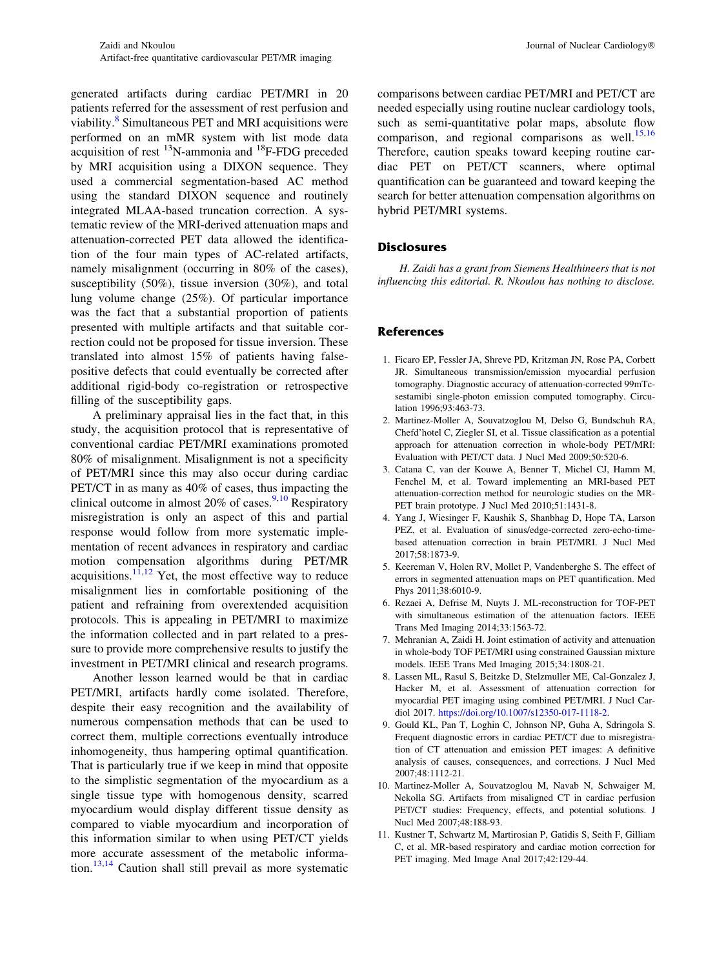<span id="page-1-0"></span>generated artifacts during cardiac PET/MRI in 20 patients referred for the assessment of rest perfusion and viability.<sup>8</sup> Simultaneous PET and MRI acquisitions were performed on an mMR system with list mode data acquisition of rest  $^{13}$ N-ammonia and  $^{18}$ F-FDG preceded by MRI acquisition using a DIXON sequence. They used a commercial segmentation-based AC method using the standard DIXON sequence and routinely integrated MLAA-based truncation correction. A systematic review of the MRI-derived attenuation maps and attenuation-corrected PET data allowed the identification of the four main types of AC-related artifacts, namely misalignment (occurring in 80% of the cases), susceptibility (50%), tissue inversion (30%), and total lung volume change (25%). Of particular importance was the fact that a substantial proportion of patients presented with multiple artifacts and that suitable correction could not be proposed for tissue inversion. These translated into almost 15% of patients having falsepositive defects that could eventually be corrected after additional rigid-body co-registration or retrospective filling of the susceptibility gaps.

A preliminary appraisal lies in the fact that, in this study, the acquisition protocol that is representative of conventional cardiac PET/MRI examinations promoted 80% of misalignment. Misalignment is not a specificity of PET/MRI since this may also occur during cardiac PET/CT in as many as 40% of cases, thus impacting the clinical outcome in almost  $20\%$  of cases. <sup>9,10</sup> Respiratory misregistration is only an aspect of this and partial response would follow from more systematic implementation of recent advances in respiratory and cardiac motion compensation algorithms during PET/MR acquisitions.<sup>11,[12](#page-2-0)</sup> Yet, the most effective way to reduce misalignment lies in comfortable positioning of the patient and refraining from overextended acquisition protocols. This is appealing in PET/MRI to maximize the information collected and in part related to a pressure to provide more comprehensive results to justify the investment in PET/MRI clinical and research programs.

Another lesson learned would be that in cardiac PET/MRI, artifacts hardly come isolated. Therefore, despite their easy recognition and the availability of numerous compensation methods that can be used to correct them, multiple corrections eventually introduce inhomogeneity, thus hampering optimal quantification. That is particularly true if we keep in mind that opposite to the simplistic segmentation of the myocardium as a single tissue type with homogenous density, scarred myocardium would display different tissue density as compared to viable myocardium and incorporation of this information similar to when using PET/CT yields more accurate assessment of the metabolic information.[13,14](#page-2-0) Caution shall still prevail as more systematic

comparisons between cardiac PET/MRI and PET/CT are needed especially using routine nuclear cardiology tools, such as semi-quantitative polar maps, absolute flow comparison, and regional comparisons as well. $^{15,16}$  $^{15,16}$  $^{15,16}$ Therefore, caution speaks toward keeping routine cardiac PET on PET/CT scanners, where optimal quantification can be guaranteed and toward keeping the search for better attenuation compensation algorithms on hybrid PET/MRI systems.

## **Disclosures**

H. Zaidi has a grant from Siemens Healthineers that is not influencing this editorial. R. Nkoulou has nothing to disclose.

## References

- 1. Ficaro EP, Fessler JA, Shreve PD, Kritzman JN, Rose PA, Corbett JR. Simultaneous transmission/emission myocardial perfusion tomography. Diagnostic accuracy of attenuation-corrected 99mTcsestamibi single-photon emission computed tomography. Circulation 1996;93:463-73.
- 2. Martinez-Moller A, Souvatzoglou M, Delso G, Bundschuh RA, Chefd'hotel C, Ziegler SI, et al. Tissue classification as a potential approach for attenuation correction in whole-body PET/MRI: Evaluation with PET/CT data. J Nucl Med 2009;50:520-6.
- 3. Catana C, van der Kouwe A, Benner T, Michel CJ, Hamm M, Fenchel M, et al. Toward implementing an MRI-based PET attenuation-correction method for neurologic studies on the MR-PET brain prototype. J Nucl Med 2010;51:1431-8.
- 4. Yang J, Wiesinger F, Kaushik S, Shanbhag D, Hope TA, Larson PEZ, et al. Evaluation of sinus/edge-corrected zero-echo-timebased attenuation correction in brain PET/MRI. J Nucl Med 2017;58:1873-9.
- 5. Keereman V, Holen RV, Mollet P, Vandenberghe S. The effect of errors in segmented attenuation maps on PET quantification. Med Phys 2011;38:6010-9.
- 6. Rezaei A, Defrise M, Nuyts J. ML-reconstruction for TOF-PET with simultaneous estimation of the attenuation factors. IEEE Trans Med Imaging 2014;33:1563-72.
- 7. Mehranian A, Zaidi H. Joint estimation of activity and attenuation in whole-body TOF PET/MRI using constrained Gaussian mixture models. IEEE Trans Med Imaging 2015;34:1808-21.
- 8. Lassen ML, Rasul S, Beitzke D, Stelzmuller ME, Cal-Gonzalez J, Hacker M, et al. Assessment of attenuation correction for myocardial PET imaging using combined PET/MRI. J Nucl Cardiol 2017. [https://doi.org/10.1007/s12350-017-1118-2.](https://doi.org/10.1007/s12350-017-1118-2)
- 9. Gould KL, Pan T, Loghin C, Johnson NP, Guha A, Sdringola S. Frequent diagnostic errors in cardiac PET/CT due to misregistration of CT attenuation and emission PET images: A definitive analysis of causes, consequences, and corrections. J Nucl Med 2007;48:1112-21.
- 10. Martinez-Moller A, Souvatzoglou M, Navab N, Schwaiger M, Nekolla SG. Artifacts from misaligned CT in cardiac perfusion PET/CT studies: Frequency, effects, and potential solutions. J Nucl Med 2007;48:188-93.
- 11. Kustner T, Schwartz M, Martirosian P, Gatidis S, Seith F, Gilliam C, et al. MR-based respiratory and cardiac motion correction for PET imaging. Med Image Anal 2017;42:129-44.